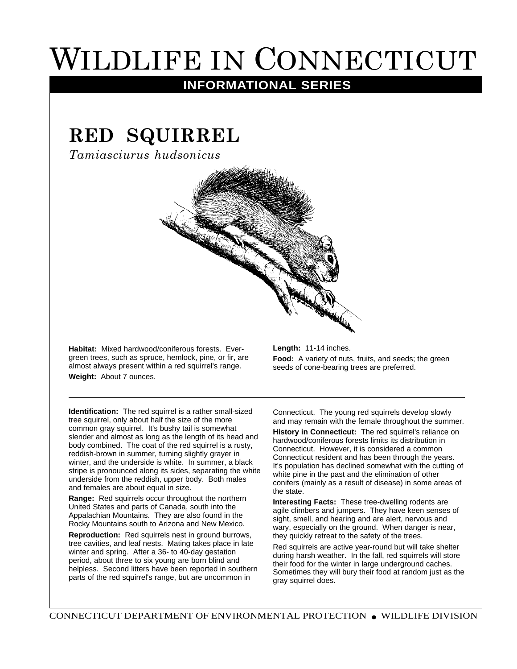## WILDLIFE IN CONNECTICUT

## **INFORMATIONAL SERIES**

## **RED SQUIRREL**

*Tamiasciurus hudsonicus*

**Habitat:** Mixed hardwood/coniferous forests. Evergreen trees, such as spruce, hemlock, pine, or fir, are almost always present within a red squirrel's range. **Weight:** About 7 ounces.

**Length:** 11-14 inches.

**Food:** A variety of nuts, fruits, and seeds; the green seeds of cone-bearing trees are preferred.

**Identification:** The red squirrel is a rather small-sized tree squirrel, only about half the size of the more common gray squirrel. It's bushy tail is somewhat slender and almost as long as the length of its head and body combined. The coat of the red squirrel is a rusty, reddish-brown in summer, turning slightly grayer in winter, and the underside is white. In summer, a black stripe is pronounced along its sides, separating the white underside from the reddish, upper body. Both males and females are about equal in size.

**Range:** Red squirrels occur throughout the northern United States and parts of Canada, south into the Appalachian Mountains. They are also found in the Rocky Mountains south to Arizona and New Mexico.

**Reproduction:** Red squirrels nest in ground burrows, tree cavities, and leaf nests. Mating takes place in late winter and spring. After a 36- to 40-day gestation period, about three to six young are born blind and helpless. Second litters have been reported in southern parts of the red squirrel's range, but are uncommon in

Connecticut. The young red squirrels develop slowly and may remain with the female throughout the summer.

**History in Connecticut:** The red squirrel's reliance on hardwood/coniferous forests limits its distribution in Connecticut. However, it is considered a common Connecticut resident and has been through the years. It's population has declined somewhat with the cutting of white pine in the past and the elimination of other conifers (mainly as a result of disease) in some areas of the state.

**Interesting Facts:** These tree-dwelling rodents are agile climbers and jumpers. They have keen senses of sight, smell, and hearing and are alert, nervous and wary, especially on the ground. When danger is near, they quickly retreat to the safety of the trees.

Red squirrels are active year-round but will take shelter during harsh weather. In the fall, red squirrels will store their food for the winter in large underground caches. Sometimes they will bury their food at random just as the gray squirrel does.

CONNECTICUT DEPARTMENT OF ENVIRONMENTAL PROTECTION ● WILDLIFE DIVISION